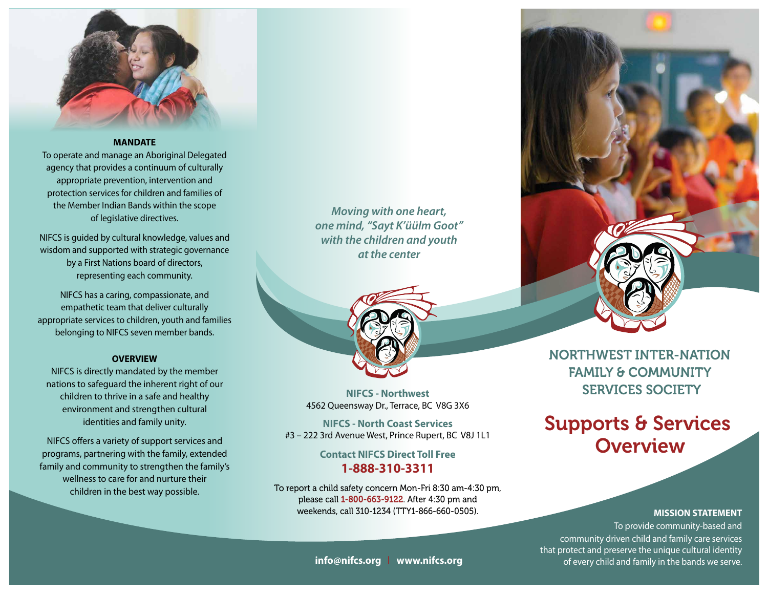

#### **MANDATE**

To operate and manage an Aboriginal Delegated agency that provides a continuum of culturally appropriate prevention, intervention and protection services for children and families of the Member Indian Bands within the scope of legislative directives. hat provides a continuum or culturally.

NIFCS is guided by cultural knowledge, values and wisdom and supported with strategic governance by a First Nations board of directors, representing each community.

NIFCS has a caring, compassionate, and empathetic team that deliver culturally appropriate services to children, youth and families belonging to NIFCS seven member bands.

#### **OVERVIEW**

NIFCS is directly mandated by the member nations to safeguard the inherent right of our children to thrive in a safe and healthy environment and strengthen cultural identities and family unity.

NIFCS offers a variety of support services and programs, partnering with the family, extended family and community to strengthen the family's wellness to care for and nurture their children in the best way possible.

*Moving with one heart, one mind, "Sayt K'üülm Goot" with the children and youth at the center*



**NIFCS - Northwest** 4562 Queensway Dr., Terrace, BC V8G 3X6

**NIFCS - North Coast Services** #3 – 222 3rd Avenue West, Prince Rupert, BC V8J 1L1

> **Contact NIFCS Direct Toll Free 1-888-310-3311**

To report a child safety concern Mon-Fri 8:30 am-4:30 pm, please call 1-800-663-9122. After 4:30 pm and weekends, call 310-1234 (TTY1-866-660-0505).



NORTHWEST INTER-NATION FAMILY & COMMUNITY SERVICES SOCIETY

# Supports & Services **Overview**

#### **MISSION STATEMENT**

To provide community-based and community driven child and family care services that protect and preserve the unique cultural identity of every child and family in the bands we serve.